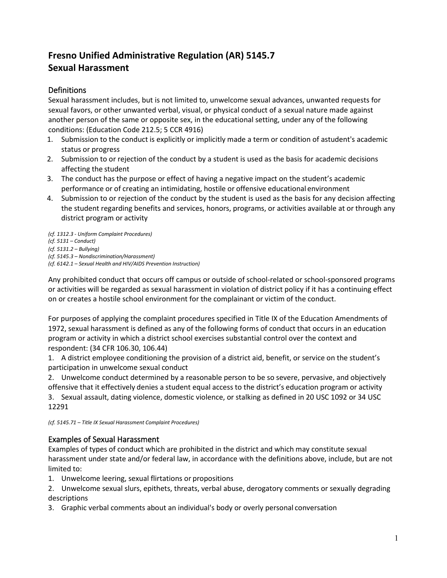# **Fresno Unified Administrative Regulation (AR) 5145.7 Sexual Harassment**

# Definitions

Sexual harassment includes, but is not limited to, unwelcome sexual advances, unwanted requests for sexual favors, or other unwanted verbal, visual, or physical conduct of a sexual nature made against another person of the same or opposite sex, in the educational setting, under any of the following conditions: (Education Code 212.5; 5 CCR 4916)

- 1. Submission to the conduct is explicitly or implicitly made a term or condition of astudent's academic status or progress
- 2. Submission to or rejection of the conduct by a student is used as the basis for academic decisions affecting the student
- 3. The conduct has the purpose or effect of having a negative impact on the student's academic performance or of creating an intimidating, hostile or offensive educational environment
- 4. Submission to or rejection of the conduct by the student is used as the basis for any decision affecting the student regarding benefits and services, honors, programs, or activities available at or through any district program or activity

*(cf. 1312.3 - Uniform Complaint Procedures) (cf. 5131 – Conduct) (cf. 5131.2 – Bullying) (cf. 5145.3 – Nondiscrimination/Harassment) (cf. 6142.1 – Sexual Health and HIV/AIDS Prevention Instruction)*

Any prohibited conduct that occurs off campus or outside of school-related or school-sponsored programs or activities will be regarded as sexual harassment in violation of district policy if it has a continuing effect on or creates a hostile school environment for the complainant or victim of the conduct.

For purposes of applying the complaint procedures specified in Title IX of the Education Amendments of 1972, sexual harassment is defined as any of the following forms of conduct that occurs in an education program or activity in which a district school exercises substantial control over the context and respondent: (34 CFR 106.30, 106.44)

1. A district employee conditioning the provision of a district aid, benefit, or service on the student's participation in unwelcome sexual conduct

2. Unwelcome conduct determined by a reasonable person to be so severe, pervasive, and objectively offensive that it effectively denies a student equal access to the district's education program or activity 3. Sexual assault, dating violence, domestic violence, or stalking as defined in 20 USC 1092 or 34 USC 12291

*(cf. 5145.71 – Title IX Sexual Harassment Complaint Procedures)*

# Examples of Sexual Harassment

Examples of types of conduct which are prohibited in the district and which may constitute sexual harassment under state and/or federal law, in accordance with the definitions above, include, but are not limited to:

1. Unwelcome leering, sexual flirtations or propositions

2. Unwelcome sexual slurs, epithets, threats, verbal abuse, derogatory comments or sexually degrading descriptions

3. Graphic verbal comments about an individual's body or overly personal conversation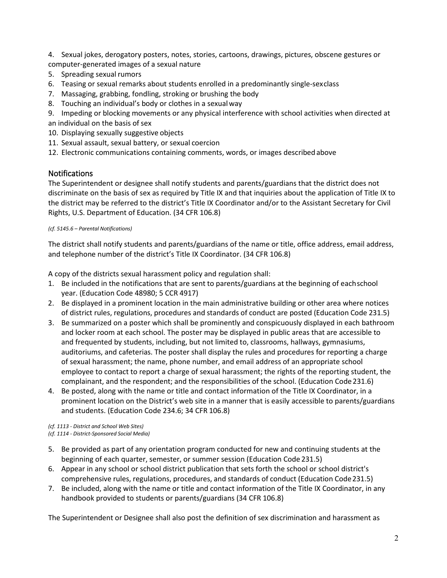4. Sexual jokes, derogatory posters, notes, stories, cartoons, drawings, pictures, obscene gestures or computer-generated images of a sexual nature

- 5. Spreading sexual rumors
- 6. Teasing or sexual remarks about students enrolled in a predominantly single-sexclass
- 7. Massaging, grabbing, fondling, stroking or brushing the body
- 8. Touching an individual's body or clothes in a sexualway
- 9. Impeding or blocking movements or any physical interference with school activities when directed at an individual on the basis of sex
- 10. Displaying sexually suggestive objects
- 11. Sexual assault, sexual battery, or sexual coercion
- 12. Electronic communications containing comments, words, or images describedabove

## **Notifications**

The Superintendent or designee shall notify students and parents/guardians that the district does not discriminate on the basis of sex as required by Title IX and that inquiries about the application of Title IX to the district may be referred to the district's Title IX Coordinator and/or to the Assistant Secretary for Civil Rights, U.S. Department of Education. (34 CFR 106.8)

#### *(cf. 5145.6 – Parental Notifications)*

The district shall notify students and parents/guardians of the name or title, office address, email address, and telephone number of the district's Title IX Coordinator. (34 CFR 106.8)

A copy of the districts sexual harassment policy and regulation shall:

- 1. Be included in the notifications that are sent to parents/guardians at the beginning of eachschool year. (Education Code 48980; 5 CCR 4917)
- 2. Be displayed in a prominent location in the main administrative building or other area where notices of district rules, regulations, procedures and standards of conduct are posted (Education Code 231.5)
- 3. Be summarized on a poster which shall be prominently and conspicuously displayed in each bathroom and locker room at each school. The poster may be displayed in public areas that are accessible to and frequented by students, including, but not limited to, classrooms, hallways, gymnasiums, auditoriums, and cafeterias. The poster shall display the rules and procedures for reporting a charge of sexual harassment; the name, phone number, and email address of an appropriate school employee to contact to report a charge of sexual harassment; the rights of the reporting student, the complainant, and the respondent; and the responsibilities of the school. (Education Code231.6)
- 4. Be posted, along with the name or title and contact information of the Title IX Coordinator, in a prominent location on the District's web site in a manner that is easily accessible to parents/guardians and students. (Education Code 234.6; 34 CFR 106.8)

*(cf. 1113 - District and School Web Sites) (cf. 1114 - District-Sponsored Social Media)*

- 5. Be provided as part of any orientation program conducted for new and continuing students at the beginning of each quarter, semester, or summer session (Education Code 231.5)
- 6. Appear in any school or school district publication that sets forth the school or school district's comprehensive rules, regulations, procedures, and standards of conduct (Education Code231.5)
- 7. Be included, along with the name or title and contact information of the Title IX Coordinator, in any handbook provided to students or parents/guardians (34 CFR 106.8)

The Superintendent or Designee shall also post the definition of sex discrimination and harassment as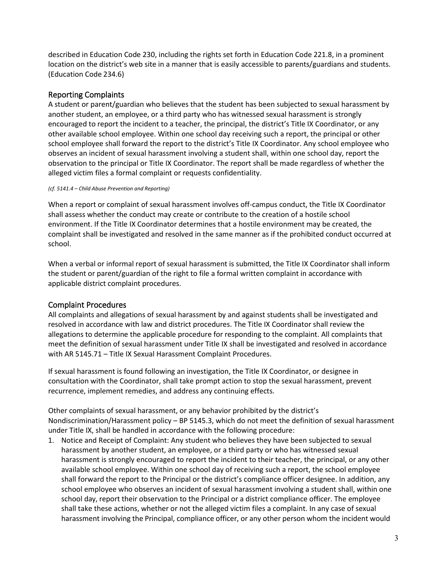described in Education Code 230, including the rights set forth in Education Code 221.8, in a prominent location on the district's web site in a manner that is easily accessible to parents/guardians and students. (Education Code 234.6)

# Reporting Complaints

A student or parent/guardian who believes that the student has been subjected to sexual harassment by another student, an employee, or a third party who has witnessed sexual harassment is strongly encouraged to report the incident to a teacher, the principal, the district's Title IX Coordinator, or any other available school employee. Within one school day receiving such a report, the principal or other school employee shall forward the report to the district's Title IX Coordinator. Any school employee who observes an incident of sexual harassment involving a student shall, within one school day, report the observation to the principal or Title IX Coordinator. The report shall be made regardless of whether the alleged victim files a formal complaint or requests confidentiality.

#### *(cf. 5141.4 – Child Abuse Prevention and Reporting)*

When a report or complaint of sexual harassment involves off-campus conduct, the Title IX Coordinator shall assess whether the conduct may create or contribute to the creation of a hostile school environment. If the Title IX Coordinator determines that a hostile environment may be created, the complaint shall be investigated and resolved in the same manner as if the prohibited conduct occurred at school.

When a verbal or informal report of sexual harassment is submitted, the Title IX Coordinator shall inform the student or parent/guardian of the right to file a formal written complaint in accordance with applicable district complaint procedures.

## Complaint Procedures

All complaints and allegations of sexual harassment by and against students shall be investigated and resolved in accordance with law and district procedures. The Title IX Coordinator shall review the allegations to determine the applicable procedure for responding to the complaint. All complaints that meet the definition of sexual harassment under Title IX shall be investigated and resolved in accordance with AR 5145.71 – Title IX Sexual Harassment Complaint Procedures.

If sexual harassment is found following an investigation, the Title IX Coordinator, or designee in consultation with the Coordinator, shall take prompt action to stop the sexual harassment, prevent recurrence, implement remedies, and address any continuing effects.

Other complaints of sexual harassment, or any behavior prohibited by the district's Nondiscrimination/Harassment policy – BP 5145.3, which do not meet the definition of sexual harassment under Title IX, shall be handled in accordance with the following procedure:

1. Notice and Receipt of Complaint: Any student who believes they have been subjected to sexual harassment by another student, an employee, or a third party or who has witnessed sexual harassment is strongly encouraged to report the incident to their teacher, the principal, or any other available school employee. Within one school day of receiving such a report, the school employee shall forward the report to the Principal or the district's compliance officer designee. In addition, any school employee who observes an incident of sexual harassment involving a student shall, within one school day, report their observation to the Principal or a district compliance officer. The employee shall take these actions, whether or not the alleged victim files a complaint. In any case of sexual harassment involving the Principal, compliance officer, or any other person whom the incident would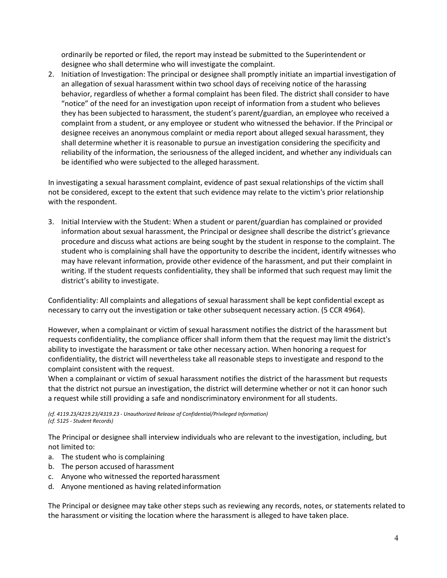ordinarily be reported or filed, the report may instead be submitted to the Superintendent or designee who shall determine who will investigate the complaint.

2. Initiation of Investigation: The principal or designee shall promptly initiate an impartial investigation of an allegation of sexual harassment within two school days of receiving notice of the harassing behavior, regardless of whether a formal complaint has been filed. The district shall consider to have "notice" of the need for an investigation upon receipt of information from a student who believes they has been subjected to harassment, the student's parent/guardian, an employee who received a complaint from a student, or any employee or student who witnessed the behavior. If the Principal or designee receives an anonymous complaint or media report about alleged sexual harassment, they shall determine whether it is reasonable to pursue an investigation considering the specificity and reliability of the information, the seriousness of the alleged incident, and whether any individuals can be identified who were subjected to the alleged harassment.

In investigating a sexual harassment complaint, evidence of past sexual relationships of the victim shall not be considered, except to the extent that such evidence may relate to the victim's prior relationship with the respondent.

3. Initial Interview with the Student: When a student or parent/guardian has complained or provided information about sexual harassment, the Principal or designee shall describe the district's grievance procedure and discuss what actions are being sought by the student in response to the complaint. The student who is complaining shall have the opportunity to describe the incident, identify witnesses who may have relevant information, provide other evidence of the harassment, and put their complaint in writing. If the student requests confidentiality, they shall be informed that such request may limit the district's ability to investigate.

Confidentiality: All complaints and allegations of sexual harassment shall be kept confidential except as necessary to carry out the investigation or take other subsequent necessary action. (5 CCR 4964).

However, when a complainant or victim of sexual harassment notifies the district of the harassment but requests confidentiality, the compliance officer shall inform them that the request may limit the district's ability to investigate the harassment or take other necessary action. When honoring a request for confidentiality, the district will nevertheless take all reasonable steps to investigate and respond to the complaint consistent with the request.

When a complainant or victim of sexual harassment notifies the district of the harassment but requests that the district not pursue an investigation, the district will determine whether or not it can honor such a request while still providing a safe and nondiscriminatory environment for all students.

*(cf. 4119.23/4219.23/4319.23 - Unauthorized Release of Confidential/Privileged Information) (cf. 5125 - Student Records)*

The Principal or designee shall interview individuals who are relevant to the investigation, including, but not limited to:

- a. The student who is complaining
- b. The person accused of harassment
- c. Anyone who witnessed the reportedharassment
- d. Anyone mentioned as having relatedinformation

The Principal or designee may take other steps such as reviewing any records, notes, or statements related to the harassment or visiting the location where the harassment is alleged to have taken place.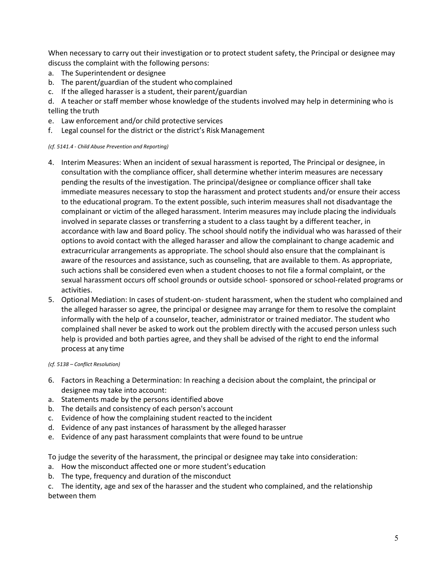When necessary to carry out their investigation or to protect student safety, the Principal or designee may discuss the complaint with the following persons:

- a. The Superintendent or designee
- b. The parent/guardian of the student who complained
- c. If the alleged harasser is a student, their parent/guardian
- d. A teacher or staff member whose knowledge of the students involved may help in determining who is telling the truth
- e. Law enforcement and/or child protective services
- f. Legal counsel for the district or the district's Risk Management

#### *(cf. 5141.4 - Child Abuse Prevention and Reporting)*

- 4. Interim Measures: When an incident of sexual harassment is reported, The Principal or designee, in consultation with the compliance officer, shall determine whether interim measures are necessary pending the results of the investigation. The principal/designee or compliance officer shall take immediate measures necessary to stop the harassment and protect students and/or ensure their access to the educational program. To the extent possible, such interim measures shall not disadvantage the complainant or victim of the alleged harassment. Interim measures may include placing the individuals involved in separate classes or transferring a student to a class taught by a different teacher, in accordance with law and Board policy. The school should notify the individual who was harassed of their options to avoid contact with the alleged harasser and allow the complainant to change academic and extracurricular arrangements as appropriate. The school should also ensure that the complainant is aware of the resources and assistance, such as counseling, that are available to them. As appropriate, such actions shall be considered even when a student chooses to not file a formal complaint, or the sexual harassment occurs off school grounds or outside school- sponsored or school-related programs or activities.
- 5. Optional Mediation: In cases of student-on- student harassment, when the student who complained and the alleged harasser so agree, the principal or designee may arrange for them to resolve the complaint informally with the help of a counselor, teacher, administrator or trained mediator. The student who complained shall never be asked to work out the problem directly with the accused person unless such help is provided and both parties agree, and they shall be advised of the right to end the informal process at any time

#### *(cf. 5138 – Conflict Resolution)*

- 6. Factors in Reaching a Determination: In reaching a decision about the complaint, the principal or designee may take into account:
- a. Statements made by the persons identified above
- b. The details and consistency of each person's account
- c. Evidence of how the complaining student reacted to the incident
- d. Evidence of any past instances of harassment by the alleged harasser
- e. Evidence of any past harassment complaints that were found to be untrue

To judge the severity of the harassment, the principal or designee may take into consideration:

- a. How the misconduct affected one or more student's education
- b. The type, frequency and duration of the misconduct

c. The identity, age and sex of the harasser and the student who complained, and the relationship between them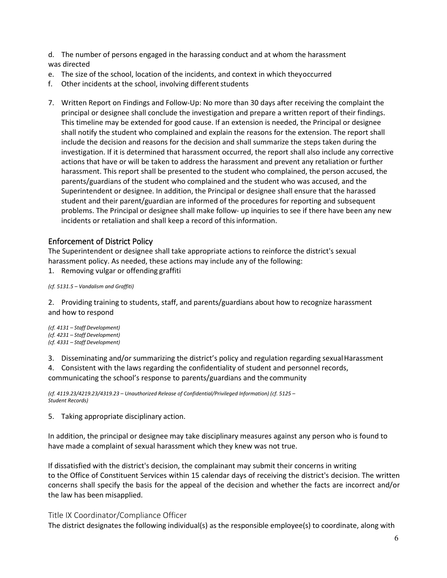d. The number of persons engaged in the harassing conduct and at whom the harassment was directed

- e. The size of the school, location of the incidents, and context in which theyoccurred
- f. Other incidents at the school, involving different students
- 7. Written Report on Findings and Follow-Up: No more than 30 days after receiving the complaint the principal or designee shall conclude the investigation and prepare a written report of their findings. This timeline may be extended for good cause. If an extension is needed, the Principal or designee shall notify the student who complained and explain the reasons for the extension. The report shall include the decision and reasons for the decision and shall summarize the steps taken during the investigation. If it is determined that harassment occurred, the report shall also include any corrective actions that have or will be taken to address the harassment and prevent any retaliation or further harassment. This report shall be presented to the student who complained, the person accused, the parents/guardians of the student who complained and the student who was accused, and the Superintendent or designee. In addition, the Principal or designee shall ensure that the harassed student and their parent/guardian are informed of the procedures for reporting and subsequent problems. The Principal or designee shall make follow- up inquiries to see if there have been any new incidents or retaliation and shall keep a record of this information.

## Enforcement of District Policy

The Superintendent or designee shall take appropriate actions to reinforce the district's sexual harassment policy. As needed, these actions may include any of the following:

1. Removing vulgar or offending graffiti

*(cf. 5131.5 – Vandalism and Graffiti)*

2. Providing training to students, staff, and parents/guardians about how to recognize harassment and how to respond

*(cf. 4131 – Staff Development) (cf. 4231 – Staff Development) (cf. 4331 – Staff Development)*

3. Disseminating and/or summarizing the district's policy and regulation regarding sexualHarassment

4. Consistent with the laws regarding the confidentiality of student and personnel records,

communicating the school's response to parents/guardians and the community

*(cf. 4119.23/4219.23/4319.23 – Unauthorized Release of Confidential/Privileged Information) (cf. 5125 – Student Records)*

5. Taking appropriate disciplinary action.

In addition, the principal or designee may take disciplinary measures against any person who is found to have made a complaint of sexual harassment which they knew was not true.

If dissatisfied with the district's decision, the complainant may submit their concerns in writing to the Office of Constituent Services within 15 calendar days of receiving the district's decision. The written concerns shall specify the basis for the appeal of the decision and whether the facts are incorrect and/or the law has been misapplied.

#### Title IX Coordinator/Compliance Officer

The district designates the following individual(s) as the responsible employee(s) to coordinate, along with